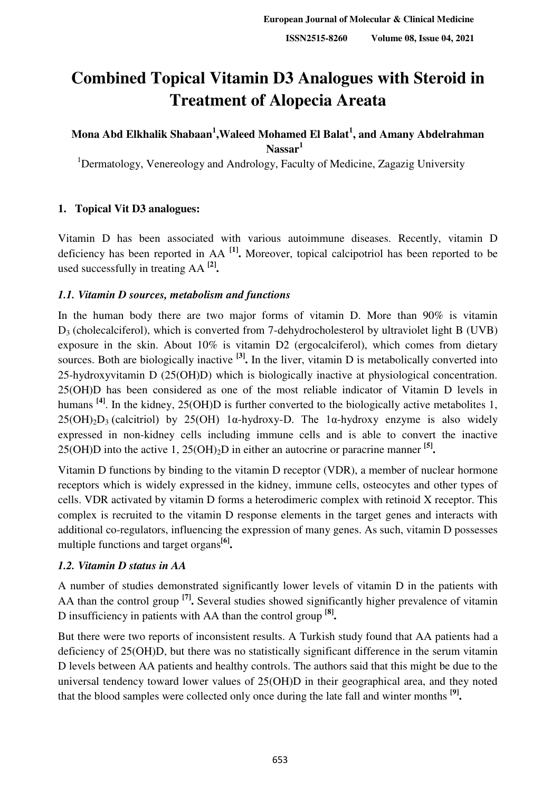# **Combined Topical Vitamin D3 Analogues with Steroid in Treatment of Alopecia Areata**

# <code>Mona Abd Elkhalik Shabaan<sup>1</sup>,Waleed Mohamed El Balat<sup>1</sup>, and Amany Abdelrahman</code> **Nassar<sup>1</sup>**

<sup>1</sup>Dermatology, Venereology and Andrology, Faculty of Medicine, Zagazig University

# **1. Topical Vit D3 analogues:**

Vitamin D has been associated with various autoimmune diseases. Recently, vitamin D deficiency has been reported in AA **[1] .** Moreover, topical calcipotriol has been reported to be used successfully in treating AA **[2] .**

## *1.1. Vitamin D sources, metabolism and functions*

In the human body there are two major forms of vitamin D. More than 90% is vitamin  $D_3$  (cholecalciferol), which is converted from 7-dehydrocholesterol by ultraviolet light B (UVB) exposure in the skin. About 10% is vitamin D2 (ergocalciferol), which comes from dietary sources. Both are biologically inactive **[3] .** In the liver, vitamin D is metabolically converted into 25-hydroxyvitamin D (25(OH)D) which is biologically inactive at physiological concentration. 25(OH)D has been considered as one of the most reliable indicator of Vitamin D levels in humans <sup>[4]</sup>. In the kidney, 25(OH)D is further converted to the biologically active metabolites 1,  $25(OH)_{2}D_{3}$  (calcitriol) by 25(OH) 1α-hydroxy-D. The 1α-hydroxy enzyme is also widely expressed in non-kidney cells including immune cells and is able to convert the inactive 25(OH)D into the active 1, 25(OH)2D in either an autocrine or paracrine manner **[5] .**

Vitamin D functions by binding to the vitamin D receptor (VDR), a member of nuclear hormone receptors which is widely expressed in the kidney, immune cells, osteocytes and other types of cells. VDR activated by vitamin D forms a heterodimeric complex with retinoid X receptor. This complex is recruited to the vitamin D response elements in the target genes and interacts with additional co-regulators, influencing the expression of many genes. As such, vitamin D possesses multiple functions and target organs**[6] .**

## *1.2. Vitamin D status in AA*

A number of studies demonstrated significantly lower levels of vitamin D in the patients with AA than the control group **[7] .** Several studies showed significantly higher prevalence of vitamin D insufficiency in patients with AA than the control group **[8] .**

But there were two reports of inconsistent results. A Turkish study found that AA patients had a deficiency of 25(OH)D, but there was no statistically significant difference in the serum vitamin D levels between AA patients and healthy controls. The authors said that this might be due to the universal tendency toward lower values of 25(OH)D in their geographical area, and they noted that the blood samples were collected only once during the late fall and winter months **[9] .**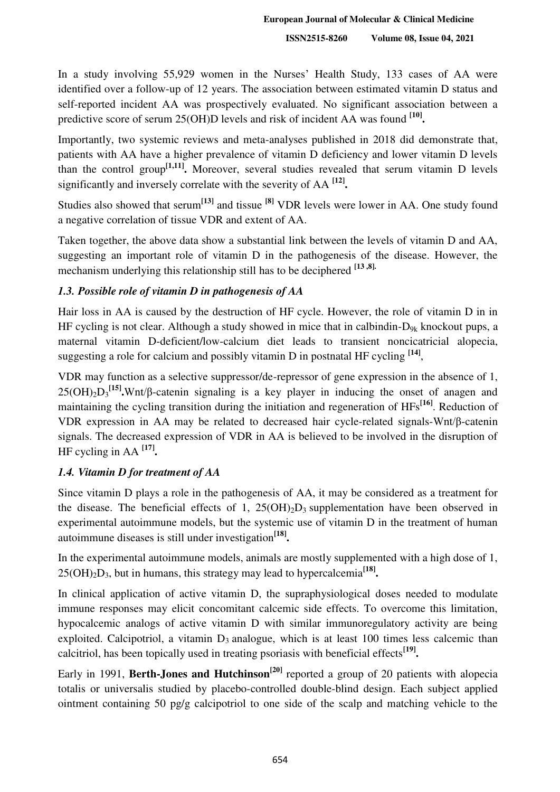**ISSN2515-8260 Volume 08, Issue 04, 2021**

In a study involving 55,929 women in the Nurses' Health Study, 133 cases of AA were identified over a follow-up of 12 years. The association between estimated vitamin D status and self-reported incident AA was prospectively evaluated. No significant association between a predictive score of serum 25(OH)D levels and risk of incident AA was found **[10] .**

Importantly, two systemic reviews and meta-analyses published in 2018 did demonstrate that, patients with AA have a higher prevalence of vitamin D deficiency and lower vitamin D levels than the control group**[1,11] .** Moreover, several studies revealed that serum vitamin D levels significantly and inversely correlate with the severity of AA **[12] .**

Studies also showed that serum**[13]** and tissue **[8]** VDR levels were lower in AA. One study found a negative correlation of tissue VDR and extent of AA.

Taken together, the above data show a substantial link between the levels of vitamin D and AA, suggesting an important role of vitamin D in the pathogenesis of the disease. However, the mechanism underlying this relationship still has to be deciphered **[13 ,8].**

## *1.3. Possible role of vitamin D in pathogenesis of AA*

Hair loss in AA is caused by the destruction of HF cycle. However, the role of vitamin D in in HF cycling is not clear. Although a study showed in mice that in calbindin- $D_{9k}$  knockout pups, a maternal vitamin D-deficient/low-calcium diet leads to transient noncicatricial alopecia, suggesting a role for calcium and possibly vitamin D in postnatal HF cycling **[14]** ,

VDR may function as a selective suppressor/de-repressor of gene expression in the absence of 1, 25(OH)2D<sup>3</sup> **[15] .**Wnt/β-catenin signaling is a key player in inducing the onset of anagen and maintaining the cycling transition during the initiation and regeneration of HFs**[16]**. Reduction of VDR expression in AA may be related to decreased hair cycle-related signals-Wnt/β-catenin signals. The decreased expression of VDR in AA is believed to be involved in the disruption of HF cycling in AA **[17] .**

# *1.4. Vitamin D for treatment of AA*

Since vitamin D plays a role in the pathogenesis of AA, it may be considered as a treatment for the disease. The beneficial effects of 1,  $25(OH)_2D_3$  supplementation have been observed in experimental autoimmune models, but the systemic use of vitamin D in the treatment of human autoimmune diseases is still under investigation**[18] .**

In the experimental autoimmune models, animals are mostly supplemented with a high dose of 1, 25(OH)2D3, but in humans, this strategy may lead to hypercalcemia**[18] .**

In clinical application of active vitamin D, the supraphysiological doses needed to modulate immune responses may elicit concomitant calcemic side effects. To overcome this limitation, hypocalcemic analogs of active vitamin D with similar immunoregulatory activity are being exploited. Calcipotriol, a vitamin  $D_3$  analogue, which is at least 100 times less calcemic than calcitriol, has been topically used in treating psoriasis with beneficial effects**[19] .**

Early in 1991, **Berth-Jones and Hutchinson**<sup>[20]</sup> reported a group of 20 patients with alopecia totalis or universalis studied by placebo-controlled double-blind design. Each subject applied ointment containing 50 pg/g calcipotriol to one side of the scalp and matching vehicle to the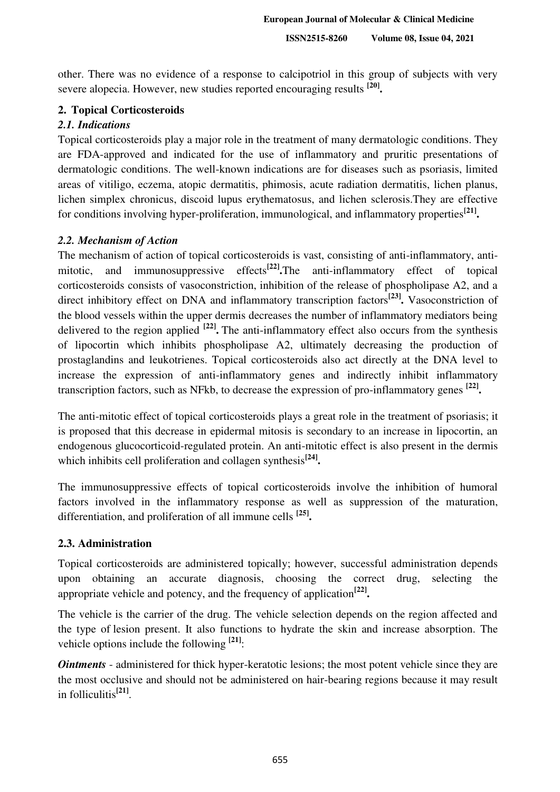other. There was no evidence of a response to calcipotriol in this group of subjects with very severe alopecia. However, new studies reported encouraging results **[20] .**

#### **2. Topical Corticosteroids**

### *2.1. Indications*

Topical corticosteroids play a major role in the treatment of many dermatologic conditions. They are FDA-approved and indicated for the use of inflammatory and pruritic presentations of dermatologic conditions. The well-known indications are for diseases such as psoriasis, limited areas of vitiligo, eczema, atopic dermatitis, phimosis, acute radiation dermatitis, lichen planus, lichen simplex chronicus, discoid lupus erythematosus, and lichen sclerosis.They are effective for conditions involving hyper-proliferation, immunological, and inflammatory properties**[21] .**

#### *2.2. Mechanism of Action*

The mechanism of action of topical corticosteroids is vast, consisting of anti-inflammatory, antimitotic, and immunosuppressive effects<sup>[22]</sup>. The anti-inflammatory effect of topical corticosteroids consists of vasoconstriction, inhibition of the release of phospholipase A2, and a direct inhibitory effect on DNA and inflammatory transcription factors**[23] .** Vasoconstriction of the blood vessels within the upper dermis decreases the number of inflammatory mediators being delivered to the region applied **[22] .** The anti-inflammatory effect also occurs from the synthesis of lipocortin which inhibits phospholipase A2, ultimately decreasing the production of prostaglandins and leukotrienes. Topical corticosteroids also act directly at the DNA level to increase the expression of anti-inflammatory genes and indirectly inhibit inflammatory transcription factors, such as NFkb, to decrease the expression of pro-inflammatory genes **[22] .**

The anti-mitotic effect of topical corticosteroids plays a great role in the treatment of psoriasis; it is proposed that this decrease in epidermal mitosis is secondary to an increase in lipocortin, an endogenous glucocorticoid-regulated protein. An anti-mitotic effect is also present in the dermis which inhibits cell proliferation and collagen synthesis<sup>[24]</sup>.

The immunosuppressive effects of topical corticosteroids involve the inhibition of humoral factors involved in the inflammatory response as well as suppression of the maturation, differentiation, and proliferation of all immune cells **[25] .**

## **2.3. Administration**

Topical corticosteroids are administered topically; however, successful administration depends upon obtaining an accurate diagnosis, choosing the correct drug, selecting the appropriate vehicle and potency, and the frequency of application**[22] .**

The vehicle is the carrier of the drug. The vehicle selection depends on the region affected and the type of lesion present. It also functions to hydrate the skin and increase absorption. The vehicle options include the following <sup>[21]</sup>:

*Ointments* - administered for thick hyper-keratotic lesions; the most potent vehicle since they are the most occlusive and should not be administered on hair-bearing regions because it may result in folliculitis**[21]** .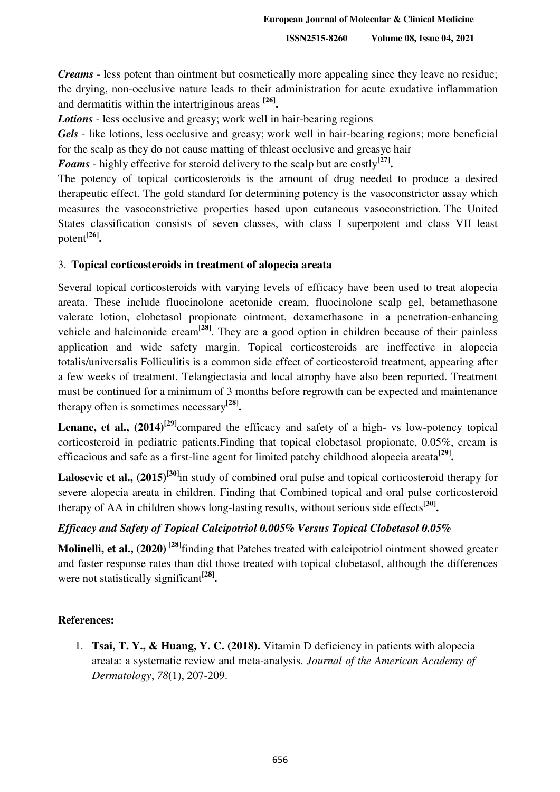**ISSN2515-8260 Volume 08, Issue 04, 2021**

*Creams* - less potent than ointment but cosmetically more appealing since they leave no residue; the drying, non-occlusive nature leads to their administration for acute exudative inflammation and dermatitis within the intertriginous areas **[26] .**

*Lotions* - less occlusive and greasy; work well in hair-bearing regions

Gels - like lotions, less occlusive and greasy; work well in hair-bearing regions; more beneficial for the scalp as they do not cause matting of thleast occlusive and greasye hair

*Foams* - highly effective for steroid delivery to the scalp but are costly**[27] .**

The potency of topical corticosteroids is the amount of drug needed to produce a desired therapeutic effect. The gold standard for determining potency is the vasoconstrictor assay which measures the vasoconstrictive properties based upon cutaneous vasoconstriction. The United States classification consists of seven classes, with class I superpotent and class VII least potent**[26] .**

## 3. **Topical corticosteroids in treatment of alopecia areata**

Several topical corticosteroids with varying levels of efficacy have been used to treat alopecia areata. These include fluocinolone acetonide cream, fluocinolone scalp gel, betamethasone valerate lotion, clobetasol propionate ointment, dexamethasone in a penetration-enhancing vehicle and halcinonide cream**[28]**. They are a good option in children because of their painless application and wide safety margin. Topical corticosteroids are ineffective in alopecia totalis/universalis Folliculitis is a common side effect of corticosteroid treatment, appearing after a few weeks of treatment. Telangiectasia and local atrophy have also been reported. Treatment must be continued for a minimum of 3 months before regrowth can be expected and maintenance therapy often is sometimes necessary**[28] .**

**Lenane, et al.,**  $(2014)^{29}$ **compared the efficacy and safety of a high- vs low-potency topical** corticosteroid in pediatric patients.Finding that topical clobetasol propionate, 0.05%, cream is efficacious and safe as a first-line agent for limited patchy childhood alopecia areata<sup>[29]</sup>.

**Lalosevic et al., (2015)[30]**in study of combined oral pulse and topical corticosteroid therapy for severe alopecia areata in children. Finding that Combined topical and oral pulse corticosteroid therapy of AA in children shows long-lasting results, without serious side effects**[30] .**

# *Efficacy and Safety of Topical Calcipotriol 0.005% Versus Topical Clobetasol 0.05%*

**Molinelli, et al., (2020) [28]**finding that Patches treated with calcipotriol ointment showed greater and faster response rates than did those treated with topical clobetasol, although the differences were not statistically significant**[28] .** 

## **References:**

1. **Tsai, T. Y., & Huang, Y. C. (2018).** Vitamin D deficiency in patients with alopecia areata: a systematic review and meta-analysis. *Journal of the American Academy of Dermatology*, *78*(1), 207-209.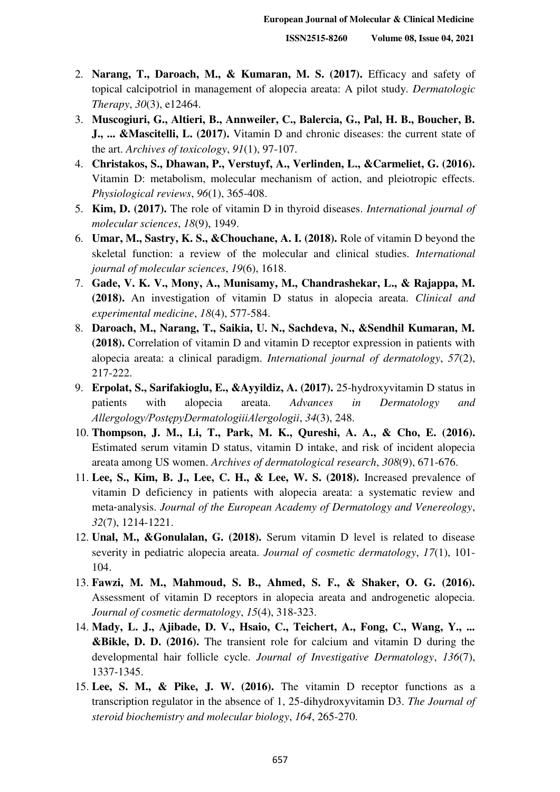- 2. **Narang, T., Daroach, M., & Kumaran, M. S. (2017).** Efficacy and safety of topical calcipotriol in management of alopecia areata: A pilot study. *Dermatologic Therapy*, *30*(3), e12464.
- 3. **Muscogiuri, G., Altieri, B., Annweiler, C., Balercia, G., Pal, H. B., Boucher, B. J., ... &Mascitelli, L. (2017).** Vitamin D and chronic diseases: the current state of the art. *Archives of toxicology*, *91*(1), 97-107.
- 4. **Christakos, S., Dhawan, P., Verstuyf, A., Verlinden, L., &Carmeliet, G. (2016).** Vitamin D: metabolism, molecular mechanism of action, and pleiotropic effects. *Physiological reviews*, *96*(1), 365-408.
- 5. **Kim, D. (2017).** The role of vitamin D in thyroid diseases. *International journal of molecular sciences*, *18*(9), 1949.
- 6. **Umar, M., Sastry, K. S., &Chouchane, A. I. (2018).** Role of vitamin D beyond the skeletal function: a review of the molecular and clinical studies. *International journal of molecular sciences*, *19*(6), 1618.
- 7. **Gade, V. K. V., Mony, A., Munisamy, M., Chandrashekar, L., & Rajappa, M. (2018).** An investigation of vitamin D status in alopecia areata. *Clinical and experimental medicine*, *18*(4), 577-584.
- 8. **Daroach, M., Narang, T., Saikia, U. N., Sachdeva, N., &Sendhil Kumaran, M. (2018).** Correlation of vitamin D and vitamin D receptor expression in patients with alopecia areata: a clinical paradigm. *International journal of dermatology*, *57*(2), 217-222.
- 9. **Erpolat, S., Sarifakioglu, E., &Ayyildiz, A. (2017).** 25-hydroxyvitamin D status in patients with alopecia areata. *Advances in Dermatology and Allergology/PostȩpyDermatologiiiAlergologii*, *34*(3), 248.
- 10. **Thompson, J. M., Li, T., Park, M. K., Qureshi, A. A., & Cho, E. (2016).**  Estimated serum vitamin D status, vitamin D intake, and risk of incident alopecia areata among US women. *Archives of dermatological research*, *308*(9), 671-676.
- 11. **Lee, S., Kim, B. J., Lee, C. H., & Lee, W. S. (2018).** Increased prevalence of vitamin D deficiency in patients with alopecia areata: a systematic review and meta‐analysis. *Journal of the European Academy of Dermatology and Venereology*, *32*(7), 1214-1221.
- 12. **Unal, M., &Gonulalan, G. (2018).** Serum vitamin D level is related to disease severity in pediatric alopecia areata. *Journal of cosmetic dermatology*, *17*(1), 101- 104.
- 13. **Fawzi, M. M., Mahmoud, S. B., Ahmed, S. F., & Shaker, O. G. (2016).** Assessment of vitamin D receptors in alopecia areata and androgenetic alopecia. *Journal of cosmetic dermatology*, *15*(4), 318-323.
- 14. **Mady, L. J., Ajibade, D. V., Hsaio, C., Teichert, A., Fong, C., Wang, Y., ... &Bikle, D. D. (2016).** The transient role for calcium and vitamin D during the developmental hair follicle cycle. *Journal of Investigative Dermatology*, *136*(7), 1337-1345.
- 15. **Lee, S. M., & Pike, J. W. (2016).** The vitamin D receptor functions as a transcription regulator in the absence of 1, 25-dihydroxyvitamin D3. *The Journal of steroid biochemistry and molecular biology*, *164*, 265-270.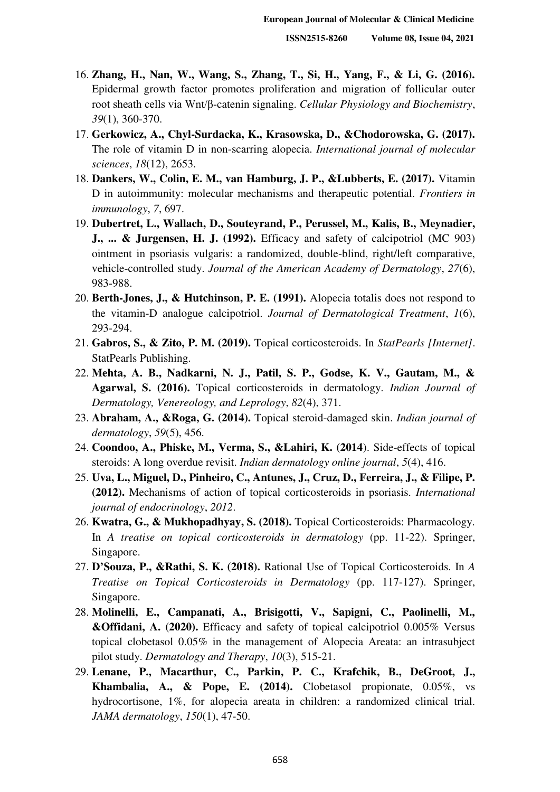- 16. **Zhang, H., Nan, W., Wang, S., Zhang, T., Si, H., Yang, F., & Li, G. (2016).** Epidermal growth factor promotes proliferation and migration of follicular outer root sheath cells via Wnt/β-catenin signaling. *Cellular Physiology and Biochemistry*, *39*(1), 360-370.
- 17. **Gerkowicz, A., Chyl-Surdacka, K., Krasowska, D., &Chodorowska, G. (2017).** The role of vitamin D in non-scarring alopecia. *International journal of molecular sciences*, *18*(12), 2653.
- 18. **Dankers, W., Colin, E. M., van Hamburg, J. P., &Lubberts, E. (2017).** Vitamin D in autoimmunity: molecular mechanisms and therapeutic potential. *Frontiers in immunology*, *7*, 697.
- 19. **Dubertret, L., Wallach, D., Souteyrand, P., Perussel, M., Kalis, B., Meynadier, J., ... & Jurgensen, H. J. (1992).** Efficacy and safety of calcipotriol (MC 903) ointment in psoriasis vulgaris: a randomized, double-blind, right/left comparative, vehicle-controlled study. *Journal of the American Academy of Dermatology*, *27*(6), 983-988.
- 20. **Berth-Jones, J., & Hutchinson, P. E. (1991).** Alopecia totalis does not respond to the vitamin-D analogue calcipotriol. *Journal of Dermatological Treatment*, *1*(6), 293-294.
- 21. **Gabros, S., & Zito, P. M. (2019).** Topical corticosteroids. In *StatPearls [Internet]*. StatPearls Publishing.
- 22. **Mehta, A. B., Nadkarni, N. J., Patil, S. P., Godse, K. V., Gautam, M., & Agarwal, S. (2016).** Topical corticosteroids in dermatology. *Indian Journal of Dermatology, Venereology, and Leprology*, *82*(4), 371.
- 23. **Abraham, A., &Roga, G. (2014).** Topical steroid-damaged skin. *Indian journal of dermatology*, *59*(5), 456.
- 24. **Coondoo, A., Phiske, M., Verma, S., &Lahiri, K. (2014**). Side-effects of topical steroids: A long overdue revisit. *Indian dermatology online journal*, *5*(4), 416.
- 25. **Uva, L., Miguel, D., Pinheiro, C., Antunes, J., Cruz, D., Ferreira, J., & Filipe, P. (2012).** Mechanisms of action of topical corticosteroids in psoriasis. *International journal of endocrinology*, *2012*.
- 26. **Kwatra, G., & Mukhopadhyay, S. (2018).** Topical Corticosteroids: Pharmacology. In *A treatise on topical corticosteroids in dermatology* (pp. 11-22). Springer, Singapore.
- 27. **D'Souza, P., &Rathi, S. K. (2018).** Rational Use of Topical Corticosteroids. In *A Treatise on Topical Corticosteroids in Dermatology* (pp. 117-127). Springer, Singapore.
- 28. **Molinelli, E., Campanati, A., Brisigotti, V., Sapigni, C., Paolinelli, M., &Offidani, A. (2020).** Efficacy and safety of topical calcipotriol 0.005% Versus topical clobetasol 0.05% in the management of Alopecia Areata: an intrasubject pilot study. *Dermatology and Therapy*, *10*(3), 515-21.
- 29. **Lenane, P., Macarthur, C., Parkin, P. C., Krafchik, B., DeGroot, J., Khambalia, A., & Pope, E. (2014).** Clobetasol propionate, 0.05%, vs hydrocortisone, 1%, for alopecia areata in children: a randomized clinical trial. *JAMA dermatology*, *150*(1), 47-50.